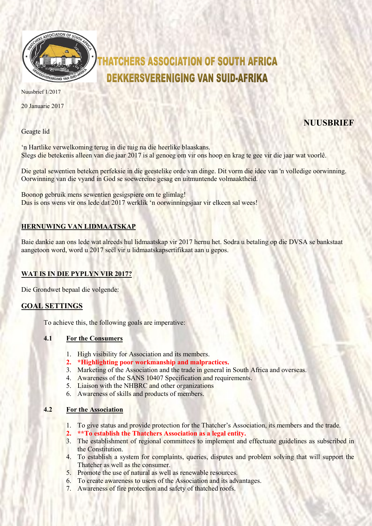

# **HATCHERS ASSOCIATION OF SOUTH AFRICA DEKKERSVERENIGING VAN SUID-AFRIKA**

Nuusbrief 1/2017

20 Januarie 2017

Geagte lid

# **NUUSBRIEF**

'n Hartlike verwelkoming terug in die tuig na die heerlike blaaskans. Slegs die betekenis alleen van die jaar 2017 is al genoeg om vir ons hoop en krag te gee vir die jaar wat voorlê.

Die getal sewentien beteken perfeksie in die geestelike orde van dinge. Dit vorm die idee van 'n volledige oorwinning. Oorwinning van die vyand in God se soewereine gesag en uitmuntende volmaaktheid.

Boonop gebruik mens sewentien gesigspiere om te glimlag! Dus is ons wens vir ons lede dat 2017 werklik 'n oorwinningsjaar vir elkeen sal wees!

# HERNUWING VAN LIDMAATSKAP

Baie dankie aan ons lede wat alreeds hul lidmaatskap vir 2017 hernu het. Sodra u betaling op die DVSA se bankstaat aangetoon word, word u 2017 seël vir u lidmaatskapsertifikaat aan u gepos.

## WAT IS IN DIE PYPLYN VIR 2017?

Die Grondwet bepaal die volgende:

#### GOAL SETTINGS

To achieve this, the following goals are imperative:

#### 4.1 For the Consumers

- 1. High visibility for Association and its members.
- 2. \*Highlighting poor workmanship and malpractices.
- 3. Marketing of the Association and the trade in general in South Africa and overseas.
- 4. Awareness of the SANS 10407 Specification and requirements.
- 5. Liaison with the NHBRC and other organizations
- 6. Awareness of skills and products of members.

#### 4.2 For the Association

- 1. To give status and provide protection for the Thatcher's Association, its members and the trade.
- 2. \*\*To establish the Thatchers Association as a legal entity.
- 3. The establishment of regional committees to implement and effectuate guidelines as subscribed in the Constitution.
- 4. To establish a system for complaints, queries, disputes and problem solving that will support the Thatcher as well as the consumer.
- 5. Promote the use of natural as well as renewable resources.
- 6. To create awareness to users of the Association and its advantages.
- 7. Awareness of fire protection and safety of thatched roofs.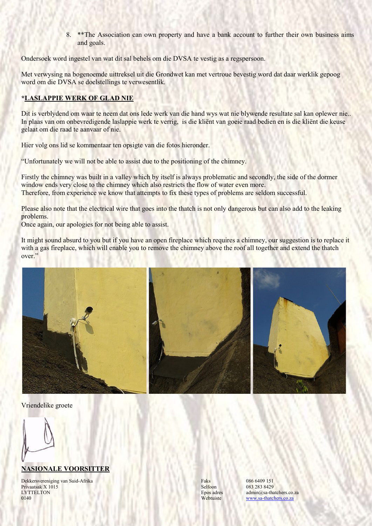8. \*\*The Association can own property and have a bank account to further their own business aims and goals.

Ondersoek word ingestel van wat dit sal behels om die DVSA te vestig as a regspersoon.

Met verwysing na bogenoemde uittreksel uit die Grondwet kan met vertroue bevestig word dat daar werklik gepoog word om die DVSA se doelstellings te verwesentlik.

#### \*LASLAPPIE WERK OF GLAD NIE

Dit is verblydend om waar te neem dat ons lede werk van die hand wys wat nie blywende resultate sal kan oplewer nie.. In plaas van om onbevredigende laslappie werk te verrig, is die kliënt van goeie raad bedien en is die kliënt die keuse gelaat om die raad te aanvaar of nie.

Hier volg ons lid se kommentaar ten opsigte van die fotos hieronder.

"Unfortunately we will not be able to assist due to the positioning of the chimney.

Firstly the chimney was built in a valley which by itself is always problematic and secondly, the side of the dormer window ends very close to the chimney which also restricts the flow of water even more. Therefore, from experience we know that attempts to fix these types of problems are seldom successful.

Please also note that the electrical wire that goes into the thatch is not only dangerous but can also add to the leaking problems.

Once again, our apologies for not being able to assist.

It might sound absurd to you but if you have an open fireplace which requires a chimney, our suggestion is to replace it with a gas fireplace, which will enable you to remove the chimney above the roof all together and extend the thatch over."



Vriendelike groete

### NASIONALE VOORSITTER

Dekkersvereniging van Suid-Afrika Faks Faks 6409 151 Privaatsak X 1015 8elfoon 083 283 8429<br>
LYTTELTON Boos adres admin@sa-th LYTTELTON Epos adres admin@sa-thatchers.co.za<br>
0.140 Webtuiste and Mehtuiste and Mehtuiste and Mehtuiste and Mehtuiste and Mehtuiste and Mehtuiste and Mehtuiste

www.sa-thatchers.co.za